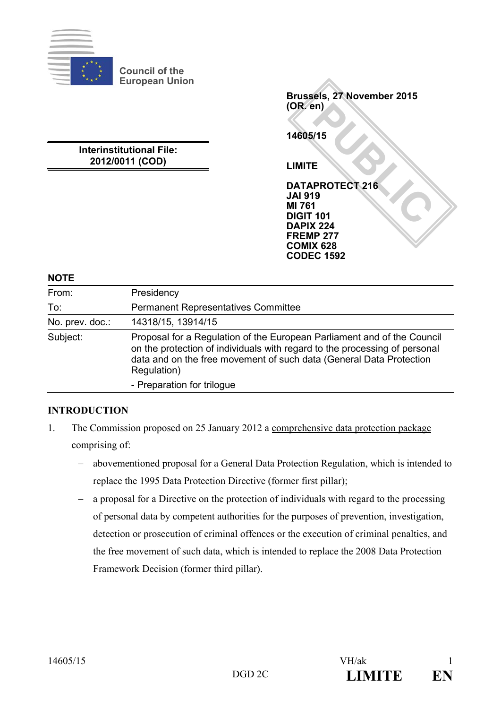

**Council of the European Union**

**Interinstitutional File: 2012/0011 (COD)**

PROTECT 216 **Brussels, 27 November 2015 (OR. en) 14605/15 LIMITE DATAPROTECT 216 JAI 919 MI 761 DIGIT 101 DAPIX 224 FREMP 277 COMIX 628 CODEC 1592**

#### **NOTE**

| From:           | Presidency                                                                                                                                                                                                                                  |
|-----------------|---------------------------------------------------------------------------------------------------------------------------------------------------------------------------------------------------------------------------------------------|
| To:             | <b>Permanent Representatives Committee</b>                                                                                                                                                                                                  |
| No. prev. doc.: | 14318/15, 13914/15                                                                                                                                                                                                                          |
| Subject:        | Proposal for a Regulation of the European Parliament and of the Council<br>on the protection of individuals with regard to the processing of personal<br>data and on the free movement of such data (General Data Protection<br>Regulation) |
|                 | - Preparation for trilogue                                                                                                                                                                                                                  |

# **INTRODUCTION**

- 1. The Commission proposed on 25 January 2012 a comprehensive data protection package comprising of:
	- − abovementioned proposal for a General Data Protection Regulation, which is intended to replace the 1995 Data Protection Directive (former first pillar);
	- a proposal for a Directive on the protection of individuals with regard to the processing of personal data by competent authorities for the purposes of prevention, investigation, detection or prosecution of criminal offences or the execution of criminal penalties, and the free movement of such data, which is intended to replace the 2008 Data Protection Framework Decision (former third pillar).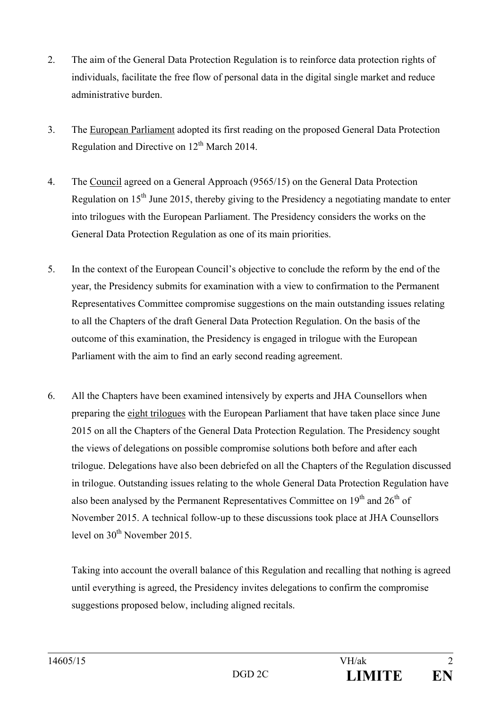- 2. The aim of the General Data Protection Regulation is to reinforce data protection rights of individuals, facilitate the free flow of personal data in the digital single market and reduce administrative burden.
- 3. The European Parliament adopted its first reading on the proposed General Data Protection Regulation and Directive on  $12<sup>th</sup>$  March 2014.
- 4. The Council agreed on a General Approach (9565/15) on the General Data Protection Regulation on 15<sup>th</sup> June 2015, thereby giving to the Presidency a negotiating mandate to enter into trilogues with the European Parliament. The Presidency considers the works on the General Data Protection Regulation as one of its main priorities.
- 5. In the context of the European Council's objective to conclude the reform by the end of the year, the Presidency submits for examination with a view to confirmation to the Permanent Representatives Committee compromise suggestions on the main outstanding issues relating to all the Chapters of the draft General Data Protection Regulation. On the basis of the outcome of this examination, the Presidency is engaged in trilogue with the European Parliament with the aim to find an early second reading agreement.
- 6. All the Chapters have been examined intensively by experts and JHA Counsellors when preparing the eight trilogues with the European Parliament that have taken place since June 2015 on all the Chapters of the General Data Protection Regulation. The Presidency sought the views of delegations on possible compromise solutions both before and after each trilogue. Delegations have also been debriefed on all the Chapters of the Regulation discussed in trilogue. Outstanding issues relating to the whole General Data Protection Regulation have also been analysed by the Permanent Representatives Committee on  $19<sup>th</sup>$  and  $26<sup>th</sup>$  of November 2015. A technical follow-up to these discussions took place at JHA Counsellors level on  $30<sup>th</sup>$  November 2015.

Taking into account the overall balance of this Regulation and recalling that nothing is agreed until everything is agreed, the Presidency invites delegations to confirm the compromise suggestions proposed below, including aligned recitals.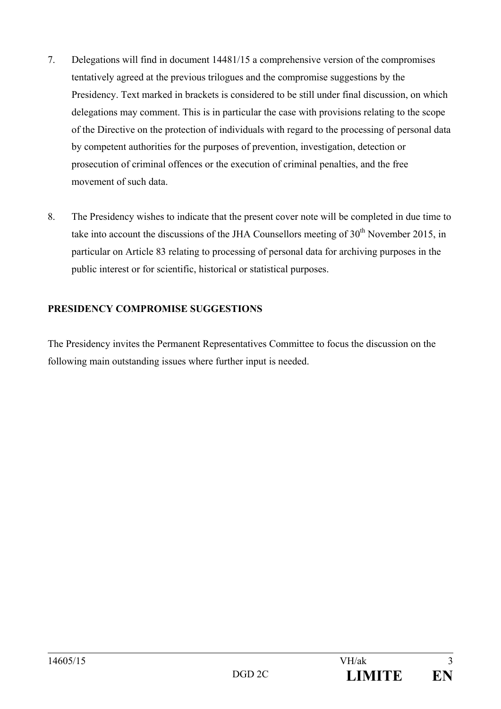- 7. Delegations will find in document 14481/15 a comprehensive version of the compromises tentatively agreed at the previous trilogues and the compromise suggestions by the Presidency. Text marked in brackets is considered to be still under final discussion, on which delegations may comment. This is in particular the case with provisions relating to the scope of the Directive on the protection of individuals with regard to the processing of personal data by competent authorities for the purposes of prevention, investigation, detection or prosecution of criminal offences or the execution of criminal penalties, and the free movement of such data.
- 8. The Presidency wishes to indicate that the present cover note will be completed in due time to take into account the discussions of the JHA Counsellors meeting of  $30<sup>th</sup>$  November 2015, in particular on Article 83 relating to processing of personal data for archiving purposes in the public interest or for scientific, historical or statistical purposes.

# **PRESIDENCY COMPROMISE SUGGESTIONS**

The Presidency invites the Permanent Representatives Committee to focus the discussion on the following main outstanding issues where further input is needed.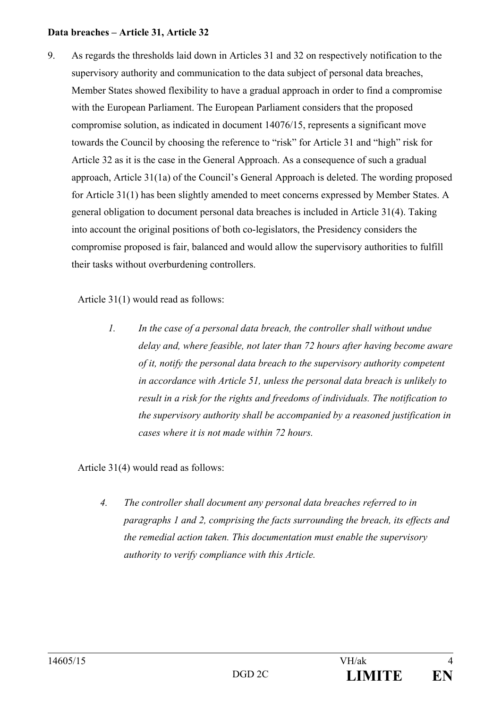#### **Data breaches – Article 31, Article 32**

9. As regards the thresholds laid down in Articles 31 and 32 on respectively notification to the supervisory authority and communication to the data subject of personal data breaches, Member States showed flexibility to have a gradual approach in order to find a compromise with the European Parliament. The European Parliament considers that the proposed compromise solution, as indicated in document 14076/15, represents a significant move towards the Council by choosing the reference to "risk" for Article 31 and "high" risk for Article 32 as it is the case in the General Approach. As a consequence of such a gradual approach, Article 31(1a) of the Council's General Approach is deleted. The wording proposed for Article 31(1) has been slightly amended to meet concerns expressed by Member States. A general obligation to document personal data breaches is included in Article 31(4). Taking into account the original positions of both co-legislators, the Presidency considers the compromise proposed is fair, balanced and would allow the supervisory authorities to fulfill their tasks without overburdening controllers.

Article 31(1) would read as follows:

*1. In the case of a personal data breach, the controller shall without undue delay and, where feasible, not later than 72 hours after having become aware of it, notify the personal data breach to the supervisory authority competent in accordance with Article 51, unless the personal data breach is unlikely to result in a risk for the rights and freedoms of individuals. The notification to the supervisory authority shall be accompanied by a reasoned justification in cases where it is not made within 72 hours.*

Article 31(4) would read as follows:

*4. The controller shall document any personal data breaches referred to in paragraphs 1 and 2, comprising the facts surrounding the breach, its effects and the remedial action taken. This documentation must enable the supervisory authority to verify compliance with this Article.*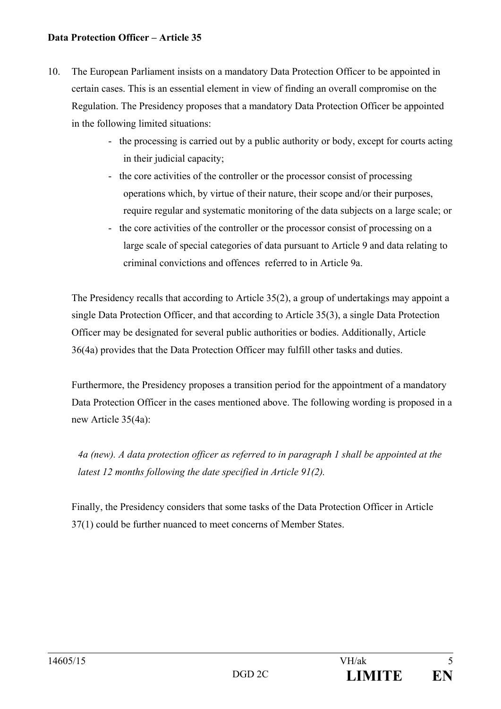### **Data Protection Officer – Article 35**

- 10. The European Parliament insists on a mandatory Data Protection Officer to be appointed in certain cases. This is an essential element in view of finding an overall compromise on the Regulation. The Presidency proposes that a mandatory Data Protection Officer be appointed in the following limited situations:
	- the processing is carried out by a public authority or body, except for courts acting in their judicial capacity;
	- the core activities of the controller or the processor consist of processing operations which, by virtue of their nature, their scope and/or their purposes, require regular and systematic monitoring of the data subjects on a large scale; or
	- the core activities of the controller or the processor consist of processing on a large scale of special categories of data pursuant to Article 9 and data relating to criminal convictions and offences referred to in Article 9a.

The Presidency recalls that according to Article 35(2), a group of undertakings may appoint a single Data Protection Officer, and that according to Article 35(3), a single Data Protection Officer may be designated for several public authorities or bodies. Additionally, Article 36(4a) provides that the Data Protection Officer may fulfill other tasks and duties.

Furthermore, the Presidency proposes a transition period for the appointment of a mandatory Data Protection Officer in the cases mentioned above. The following wording is proposed in a new Article 35(4a):

*4a (new). A data protection officer as referred to in paragraph 1 shall be appointed at the latest 12 months following the date specified in Article 91(2).* 

Finally, the Presidency considers that some tasks of the Data Protection Officer in Article 37(1) could be further nuanced to meet concerns of Member States.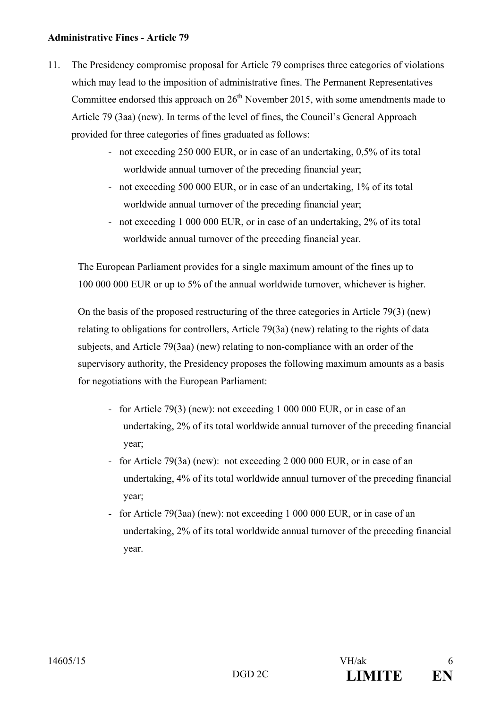### **Administrative Fines - Article 79**

- 11. The Presidency compromise proposal for Article 79 comprises three categories of violations which may lead to the imposition of administrative fines. The Permanent Representatives Committee endorsed this approach on  $26<sup>th</sup>$  November 2015, with some amendments made to Article 79 (3aa) (new). In terms of the level of fines, the Council's General Approach provided for three categories of fines graduated as follows:
	- not exceeding 250 000 EUR, or in case of an undertaking, 0,5% of its total worldwide annual turnover of the preceding financial year;
	- not exceeding 500 000 EUR, or in case of an undertaking, 1% of its total worldwide annual turnover of the preceding financial year;
	- not exceeding 1 000 000 EUR, or in case of an undertaking, 2% of its total worldwide annual turnover of the preceding financial year.

The European Parliament provides for a single maximum amount of the fines up to 100 000 000 EUR or up to 5% of the annual worldwide turnover, whichever is higher.

On the basis of the proposed restructuring of the three categories in Article 79(3) (new) relating to obligations for controllers, Article 79(3a) (new) relating to the rights of data subjects, and Article 79(3aa) (new) relating to non-compliance with an order of the supervisory authority, the Presidency proposes the following maximum amounts as a basis for negotiations with the European Parliament:

- for Article 79(3) (new): not exceeding 1 000 000 EUR, or in case of an undertaking, 2% of its total worldwide annual turnover of the preceding financial year;
- for Article 79(3a) (new): not exceeding 2 000 000 EUR, or in case of an undertaking, 4% of its total worldwide annual turnover of the preceding financial year;
- for Article 79(3aa) (new): not exceeding 1 000 000 EUR, or in case of an undertaking, 2% of its total worldwide annual turnover of the preceding financial year.